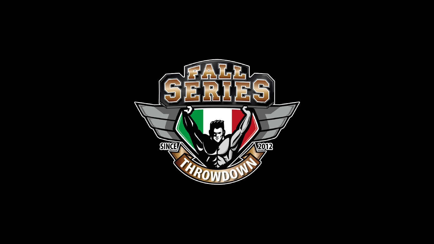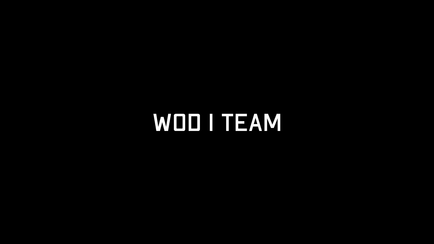# WOD I TEAM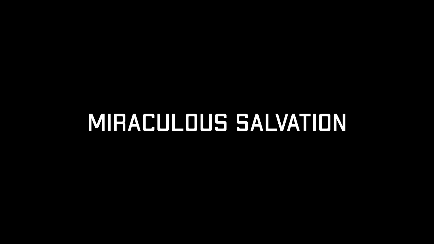## MIRACULOUS SALVATION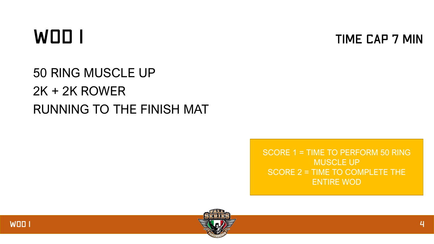### WOD I

**TIME CAP 7 MIN** 

#### 50 RING MUSCLE UP 2K + 2K ROWER RUNNING TO THE FINISH MAT

SCORE 1 = TIME TO PERFORM 50 RING MUSCLE UP SCORE 2 = TIME TO COMPLETE THE ENTIRE WOD



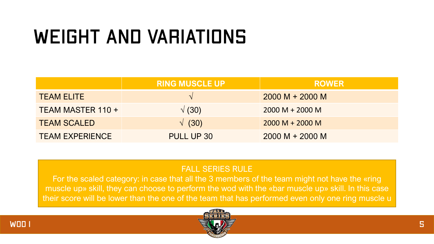## WEIGHT AND VARIATIONS

|                        | <b>RING MUSCLE UP</b> | <b>ROWER</b>      |
|------------------------|-----------------------|-------------------|
| <b>TEAM ELITE</b>      |                       | $2000 M + 2000 M$ |
| TEAM MASTER 110 +      | $\sqrt(30)$           | $2000 M + 2000 M$ |
| <b>TEAM SCALED</b>     | $\sqrt{(30)}$         | $2000 M + 2000 M$ |
| <b>TEAM EXPERIENCE</b> | PULL UP 30            | $2000 M + 2000 M$ |

#### FALL SERIES RULE

For the scaled category: in case that all the 3 members of the team might not have the «ring muscle up» skill, they can choose to perform the wod with the «bar muscle up» skill. In this case their score will be lower than the one of the team that has performed even only one ring muscle u



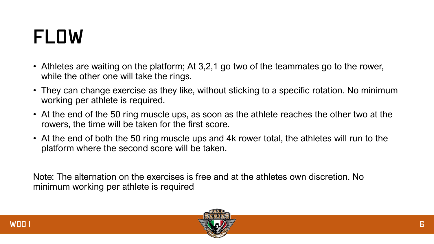### FLOW

- Athletes are waiting on the platform; At 3,2,1 go two of the teammates go to the rower, while the other one will take the rings.
- They can change exercise as they like, without sticking to a specific rotation. No minimum working per athlete is required.
- At the end of the 50 ring muscle ups, as soon as the athlete reaches the other two at the rowers, the time will be taken for the first score.
- At the end of both the 50 ring muscle ups and 4k rower total, the athletes will run to the platform where the second score will be taken.

Note: The alternation on the exercises is free and at the athletes own discretion. No minimum working per athlete is required

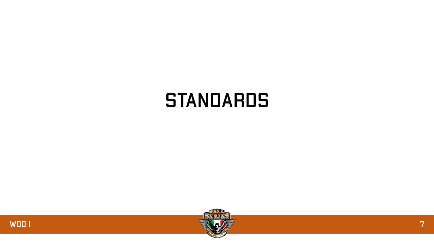#### **STANDARDS**